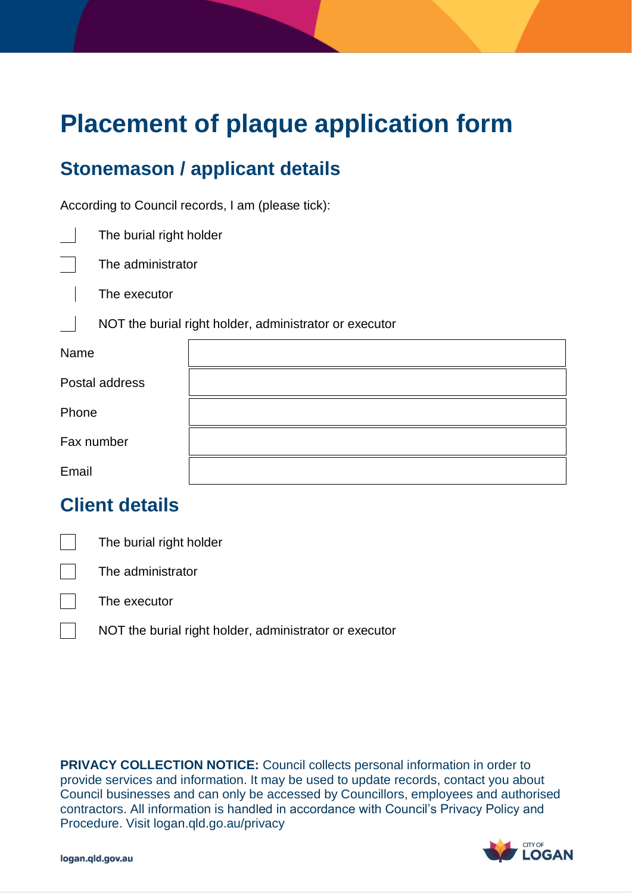# **Placement of plaque application form**

## **Stonemason / applicant details**

According to Council records, I am (please tick):

 $\overline{\phantom{a}}$ The burial right holder

The administrator

 $\Box$ The executor

NOT the burial right holder, administrator or executor

| Name           |  |
|----------------|--|
| Postal address |  |
| Phone          |  |
| Fax number     |  |
| Email          |  |

#### **Client details**

The burial right holder

The administrator

The executor

 $\sim$ 

NOT the burial right holder, administrator or executor

 **PRIVACY COLLECTION NOTICE:** Council collects personal information in order to provide services and information. It may be used to update records, contact you about Council businesses and can only be accessed by Councillors, employees and authorised contractors. All information is handled in accordance with Council's Privacy Policy and Procedure. Visit logan.qld.go.au/privacy

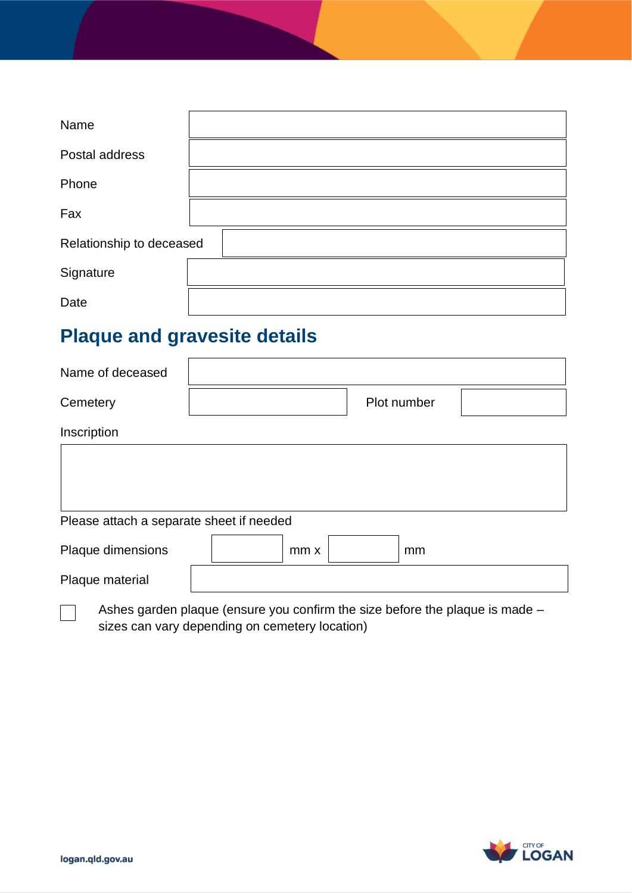| Name                     |  |
|--------------------------|--|
| Postal address           |  |
| Phone                    |  |
| Fax                      |  |
| Relationship to deceased |  |
| Signature                |  |
| Date                     |  |

# **Plaque and gravesite details**

| Name of deceased |             |  |
|------------------|-------------|--|
| Cemetery         | Plot number |  |
| Inscription      |             |  |
|                  |             |  |
|                  |             |  |
|                  |             |  |

#### Please attach a separate sheet if needed

| Plaque dimensions | $mm \times$ | mm |
|-------------------|-------------|----|
| Plaque material   |             |    |

 Ashes garden plaque (ensure you confirm the size before the plaque is made – sizes can vary depending on cemetery location)



 $\Box$